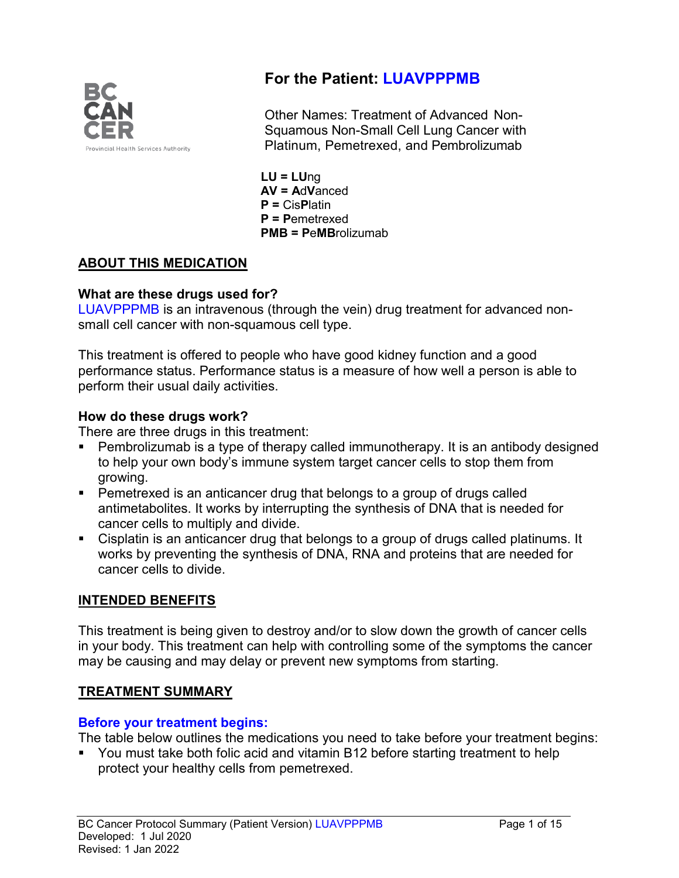

# **For the Patient: LUAVPPPMB**

Other Names: Treatment of Advanced Non-Squamous Non-Small Cell Lung Cancer with Platinum, Pemetrexed, and Pembrolizumab

**LU = LU**ng **AV = A**d**V**anced **P =** Cis**P**latin **P = P**emetrexed **PMB = P**e**MB**rolizumab

# **ABOUT THIS MEDICATION**

### **What are these drugs used for?**

LUAVPPPMB is an intravenous (through the vein) drug treatment for advanced nonsmall cell cancer with non-squamous cell type.

This treatment is offered to people who have good kidney function and a good performance status. Performance status is a measure of how well a person is able to perform their usual daily activities.

### **How do these drugs work?**

There are three drugs in this treatment:

- Pembrolizumab is a type of therapy called immunotherapy. It is an antibody designed to help your own body's immune system target cancer cells to stop them from growing.
- Pemetrexed is an anticancer drug that belongs to a group of drugs called antimetabolites. It works by interrupting the synthesis of DNA that is needed for cancer cells to multiply and divide.
- Cisplatin is an anticancer drug that belongs to a group of drugs called platinums. It works by preventing the synthesis of DNA, RNA and proteins that are needed for cancer cells to divide.

## **INTENDED BENEFITS**

This treatment is being given to destroy and/or to slow down the growth of cancer cells in your body. This treatment can help with controlling some of the symptoms the cancer may be causing and may delay or prevent new symptoms from starting.

## **TREATMENT SUMMARY**

## **Before your treatment begins:**

The table below outlines the medications you need to take before your treatment begins:

 You must take both folic acid and vitamin B12 before starting treatment to help protect your healthy cells from pemetrexed.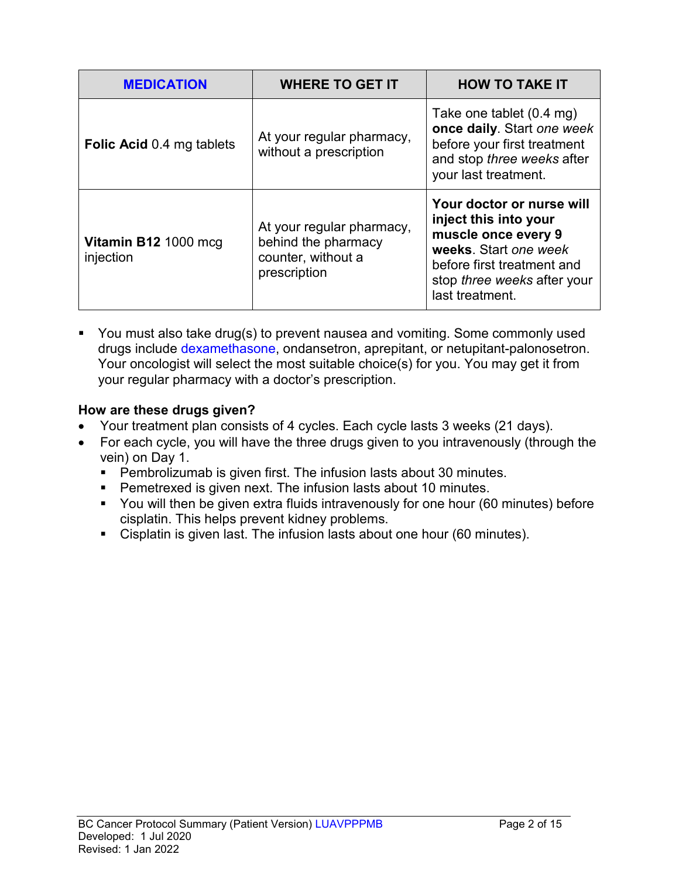| <b>MEDICATION</b>                 | <b>WHERE TO GET IT</b>                                                                 | <b>HOW TO TAKE IT</b>                                                                                                                                                              |
|-----------------------------------|----------------------------------------------------------------------------------------|------------------------------------------------------------------------------------------------------------------------------------------------------------------------------------|
| <b>Folic Acid 0.4 mg tablets</b>  | At your regular pharmacy,<br>without a prescription                                    | Take one tablet (0.4 mg)<br>once daily. Start one week<br>before your first treatment<br>and stop three weeks after<br>your last treatment.                                        |
| Vitamin B12 1000 mcg<br>injection | At your regular pharmacy,<br>behind the pharmacy<br>counter, without a<br>prescription | Your doctor or nurse will<br>inject this into your<br>muscle once every 9<br>weeks. Start one week<br>before first treatment and<br>stop three weeks after your<br>last treatment. |

• You must also take drug(s) to prevent nausea and vomiting. Some commonly used drugs include dexamethasone, ondansetron, aprepitant, or netupitant-palonosetron. Your oncologist will select the most suitable choice(s) for you. You may get it from your regular pharmacy with a doctor's prescription.

### **How are these drugs given?**

- Your treatment plan consists of 4 cycles. Each cycle lasts 3 weeks (21 days).
- For each cycle, you will have the three drugs given to you intravenously (through the vein) on Day 1.
	- Pembrolizumab is given first. The infusion lasts about 30 minutes.
	- **Pemetrexed is given next. The infusion lasts about 10 minutes.**
	- You will then be given extra fluids intravenously for one hour (60 minutes) before cisplatin. This helps prevent kidney problems.
	- Cisplatin is given last. The infusion lasts about one hour (60 minutes).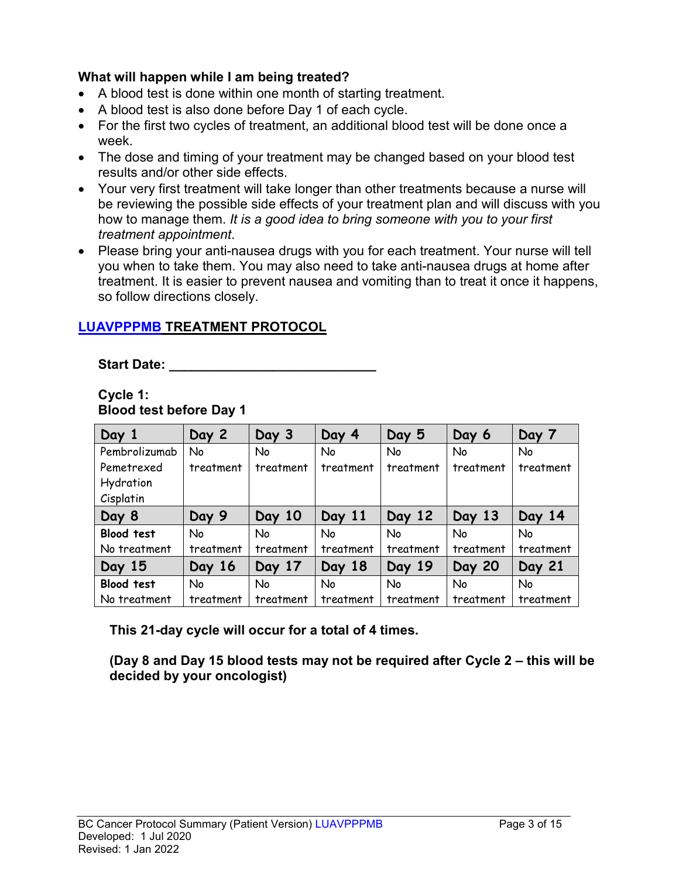### **What will happen while I am being treated?**

- A blood test is done within one month of starting treatment.
- A blood test is also done before Day 1 of each cycle.
- For the first two cycles of treatment, an additional blood test will be done once a week.
- The dose and timing of your treatment may be changed based on your blood test results and/or other side effects.
- Your very first treatment will take longer than other treatments because a nurse will be reviewing the possible side effects of your treatment plan and will discuss with you how to manage them. *It is a good idea to bring someone with you to your first treatment appointment*.
- Please bring your anti-nausea drugs with you for each treatment. Your nurse will tell you when to take them. You may also need to take anti-nausea drugs at home after treatment. It is easier to prevent nausea and vomiting than to treat it once it happens, so follow directions closely.

# **LUAVPPPMB TREATMENT PROTOCOL**

Start Date: **With Start Date: Start Date: All 2008** 

#### **Cycle 1: Blood test before Day 1**

| Day 1             | Day 2     | Day 3     | Day 4     | Day 5     | Day 6         | Day 7     |
|-------------------|-----------|-----------|-----------|-----------|---------------|-----------|
| Pembrolizumab     | No        | No        | No        | No        | No            | No        |
| Pemetrexed        | treatment | treatment | treatment | treatment | treatment     | treatment |
| Hydration         |           |           |           |           |               |           |
| Cisplatin         |           |           |           |           |               |           |
| Day 8             | Day 9     | Day 10    | Day 11    | Day 12    | Day 13        | Day 14    |
| <b>Blood test</b> | No        | No        | No        | No        | <b>No</b>     | <b>No</b> |
| No treatment      | treatment | treatment | treatment | treatment | treatment     | treatment |
| Day 15            | Day 16    | Day 17    | Day 18    | Day 19    | <b>Day 20</b> | Day 21    |
| Blood test        | No        | <b>No</b> | No        | <b>No</b> | <b>No</b>     | <b>No</b> |
| No treatment      | treatment | treatment | treatment | treatment | treatment     | treatment |

**This 21-day cycle will occur for a total of 4 times.**

**(Day 8 and Day 15 blood tests may not be required after Cycle 2 – this will be decided by your oncologist)**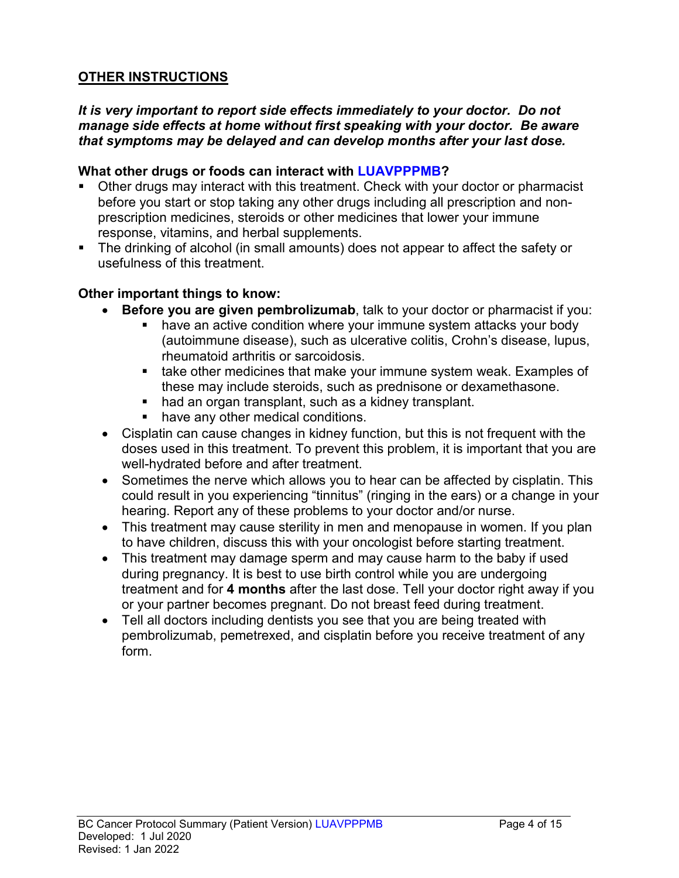## **OTHER INSTRUCTIONS**

#### *It is very important to report side effects immediately to your doctor. Do not manage side effects at home without first speaking with your doctor. Be aware that symptoms may be delayed and can develop months after your last dose.*

#### **What other drugs or foods can interact with LUAVPPPMB?**

- Other drugs may interact with this treatment. Check with your doctor or pharmacist before you start or stop taking any other drugs including all prescription and nonprescription medicines, steroids or other medicines that lower your immune response, vitamins, and herbal supplements.
- The drinking of alcohol (in small amounts) does not appear to affect the safety or usefulness of this treatment.

#### **Other important things to know:**

- **Before you are given pembrolizumab**, talk to your doctor or pharmacist if you:
	- have an active condition where your immune system attacks your body (autoimmune disease), such as ulcerative colitis, Crohn's disease, lupus, rheumatoid arthritis or sarcoidosis.
	- **take other medicines that make your immune system weak. Examples of** these may include steroids, such as prednisone or dexamethasone.
	- had an organ transplant, such as a kidney transplant.
	- have any other medical conditions.
- Cisplatin can cause changes in kidney function, but this is not frequent with the doses used in this treatment. To prevent this problem, it is important that you are well-hydrated before and after treatment.
- Sometimes the nerve which allows you to hear can be affected by cisplatin. This could result in you experiencing "tinnitus" (ringing in the ears) or a change in your hearing. Report any of these problems to your doctor and/or nurse.
- This treatment may cause sterility in men and menopause in women. If you plan to have children, discuss this with your oncologist before starting treatment.
- This treatment may damage sperm and may cause harm to the baby if used during pregnancy. It is best to use birth control while you are undergoing treatment and for **4 months** after the last dose. Tell your doctor right away if you or your partner becomes pregnant. Do not breast feed during treatment.
- Tell all doctors including dentists you see that you are being treated with pembrolizumab, pemetrexed, and cisplatin before you receive treatment of any form.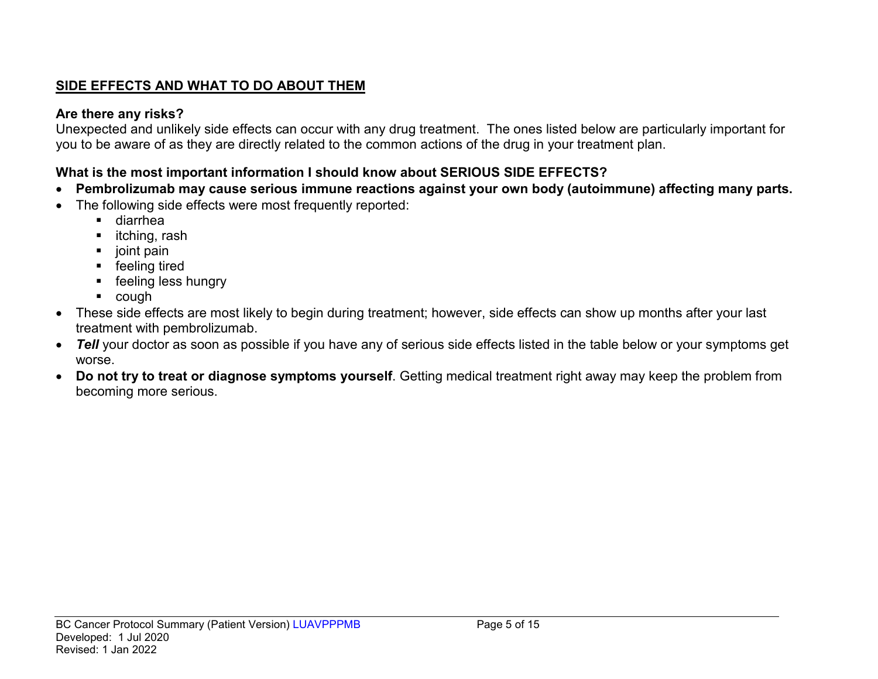# **SIDE EFFECTS AND WHAT TO DO ABOUT THEM**

# **Are there any risks?**

Unexpected and unlikely side effects can occur with any drug treatment. The ones listed below are particularly important for you to be aware of as they are directly related to the common actions of the drug in your treatment plan.

# **What is the most important information I should know about SERIOUS SIDE EFFECTS?**

- **Pembrolizumab may cause serious immune reactions against your own body (autoimmune) affecting many parts.**
- The following side effects were most frequently reported:
	- diarrhea
	- $\blacksquare$  itching, rash
	- $\blacksquare$  joint pain
	- **F** feeling tired
	- **F** feeling less hungry
	- cough
- These side effects are most likely to begin during treatment; however, side effects can show up months after your last treatment with pembrolizumab.
- *Tell* your doctor as soon as possible if you have any of serious side effects listed in the table below or your symptoms get worse.
- **Do not try to treat or diagnose symptoms yourself**. Getting medical treatment right away may keep the problem from becoming more serious.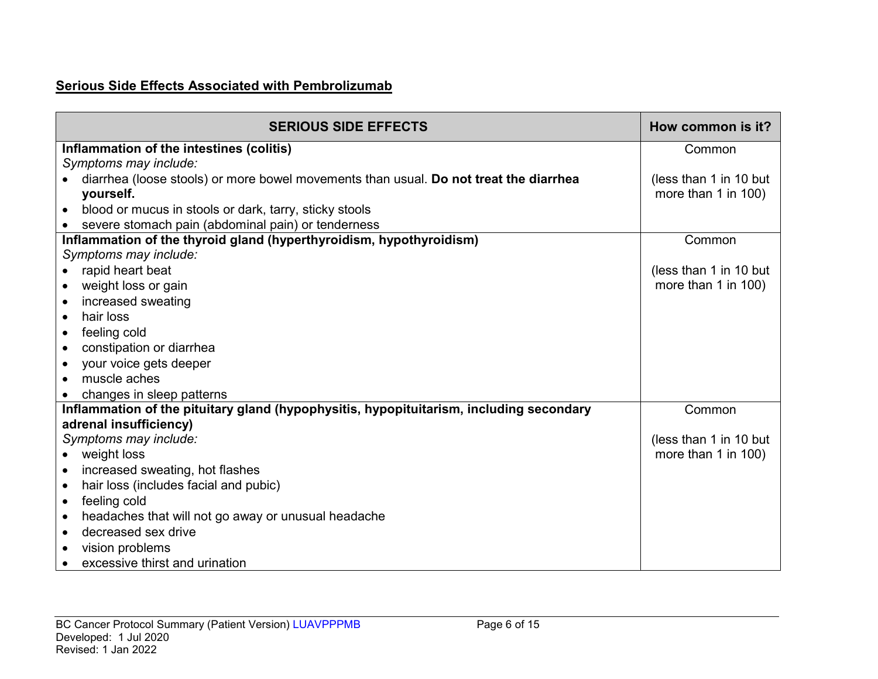# **Serious Side Effects Associated with Pembrolizumab**

| <b>SERIOUS SIDE EFFECTS</b>                                                             | How common is it?      |
|-----------------------------------------------------------------------------------------|------------------------|
| Inflammation of the intestines (colitis)                                                | Common                 |
| Symptoms may include:                                                                   |                        |
| diarrhea (loose stools) or more bowel movements than usual. Do not treat the diarrhea   | (less than 1 in 10 but |
| yourself.                                                                               | more than 1 in 100)    |
| blood or mucus in stools or dark, tarry, sticky stools                                  |                        |
| severe stomach pain (abdominal pain) or tenderness                                      |                        |
| Inflammation of the thyroid gland (hyperthyroidism, hypothyroidism)                     | Common                 |
| Symptoms may include:                                                                   |                        |
| rapid heart beat                                                                        | (less than 1 in 10 but |
| weight loss or gain<br>$\bullet$                                                        | more than 1 in 100)    |
| increased sweating<br>$\bullet$                                                         |                        |
| hair loss<br>$\bullet$                                                                  |                        |
| feeling cold<br>$\bullet$                                                               |                        |
| constipation or diarrhea                                                                |                        |
| your voice gets deeper<br>$\bullet$                                                     |                        |
| muscle aches                                                                            |                        |
| changes in sleep patterns                                                               |                        |
| Inflammation of the pituitary gland (hypophysitis, hypopituitarism, including secondary | Common                 |
| adrenal insufficiency)                                                                  |                        |
| Symptoms may include:                                                                   | (less than 1 in 10 but |
| weight loss                                                                             | more than 1 in 100)    |
| increased sweating, hot flashes<br>$\bullet$                                            |                        |
| hair loss (includes facial and pubic)<br>$\bullet$                                      |                        |
| feeling cold<br>$\bullet$                                                               |                        |
| headaches that will not go away or unusual headache<br>$\bullet$                        |                        |
| decreased sex drive<br>$\bullet$                                                        |                        |
| vision problems                                                                         |                        |
| excessive thirst and urination                                                          |                        |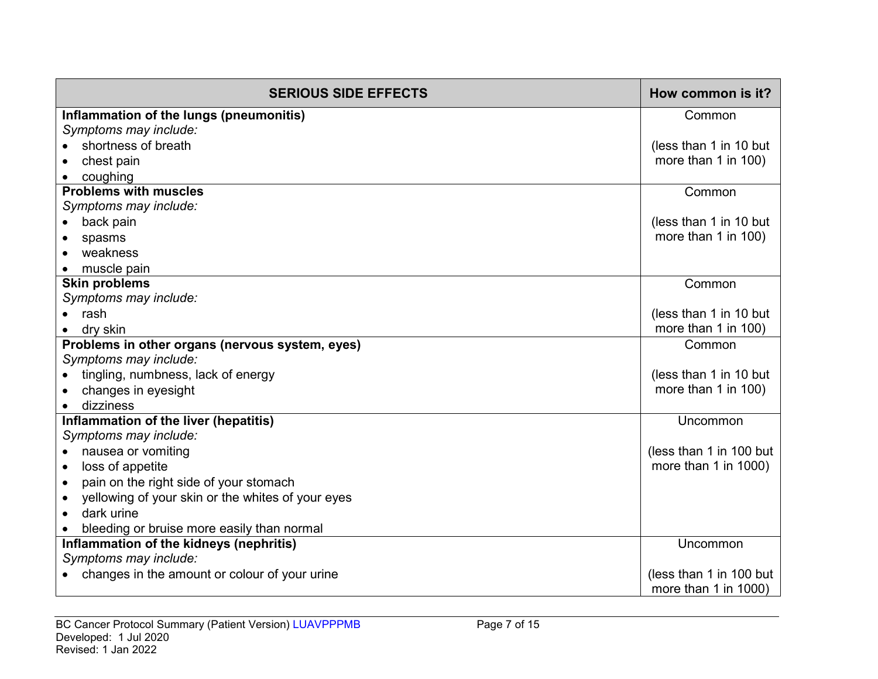| <b>SERIOUS SIDE EFFECTS</b>                         | How common is it?         |
|-----------------------------------------------------|---------------------------|
| Inflammation of the lungs (pneumonitis)             | Common                    |
| Symptoms may include:                               |                           |
| shortness of breath                                 | (less than 1 in 10 but    |
| chest pain                                          | more than 1 in 100)       |
| coughing                                            |                           |
| <b>Problems with muscles</b>                        | Common                    |
| Symptoms may include:                               |                           |
| back pain                                           | (less than 1 in 10 but    |
| spasms                                              | more than 1 in 100)       |
| weakness                                            |                           |
| muscle pain                                         |                           |
| <b>Skin problems</b>                                | Common                    |
| Symptoms may include:                               |                           |
| rash                                                | (less than 1 in 10 but    |
| dry skin                                            | more than 1 in 100)       |
| Problems in other organs (nervous system, eyes)     | Common                    |
| Symptoms may include:                               |                           |
| tingling, numbness, lack of energy                  | (less than 1 in 10 but    |
| changes in eyesight                                 | more than 1 in 100)       |
| dizziness                                           |                           |
| Inflammation of the liver (hepatitis)               | Uncommon                  |
| Symptoms may include:                               |                           |
| nausea or vomiting<br>$\bullet$                     | (less than 1 in 100 but   |
| loss of appetite<br>$\bullet$                       | more than 1 in 1000)      |
| pain on the right side of your stomach<br>$\bullet$ |                           |
| yellowing of your skin or the whites of your eyes   |                           |
| dark urine<br>$\bullet$                             |                           |
| bleeding or bruise more easily than normal          |                           |
| Inflammation of the kidneys (nephritis)             | Uncommon                  |
| Symptoms may include:                               |                           |
| changes in the amount or colour of your urine       | (less than 1 in 100 but   |
|                                                     | more than $1$ in $1000$ ) |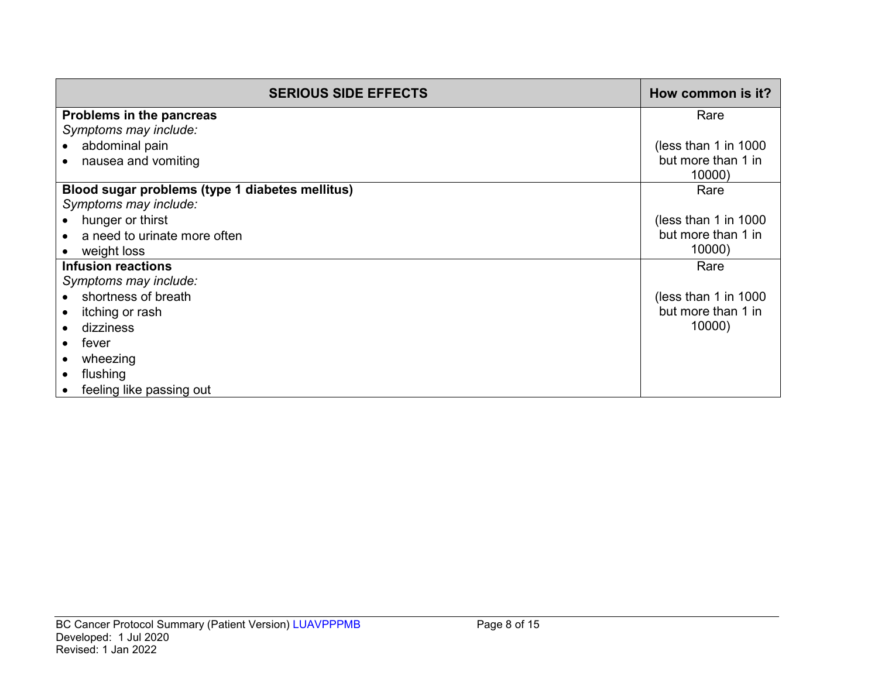| <b>SERIOUS SIDE EFFECTS</b>                     | How common is it?    |
|-------------------------------------------------|----------------------|
| Problems in the pancreas                        | Rare                 |
| Symptoms may include:                           |                      |
| abdominal pain                                  | (less than 1 in 1000 |
| nausea and vomiting                             | but more than 1 in   |
|                                                 | 10000)               |
| Blood sugar problems (type 1 diabetes mellitus) | Rare                 |
| Symptoms may include:                           |                      |
| hunger or thirst                                | (less than 1 in 1000 |
| a need to urinate more often                    | but more than 1 in   |
| weight loss                                     | 10000)               |
| <b>Infusion reactions</b>                       | Rare                 |
| Symptoms may include:                           |                      |
| shortness of breath                             | (less than 1 in 1000 |
| itching or rash                                 | but more than 1 in   |
| dizziness                                       | 10000)               |
| fever                                           |                      |
| wheezing                                        |                      |
| flushing                                        |                      |
| feeling like passing out                        |                      |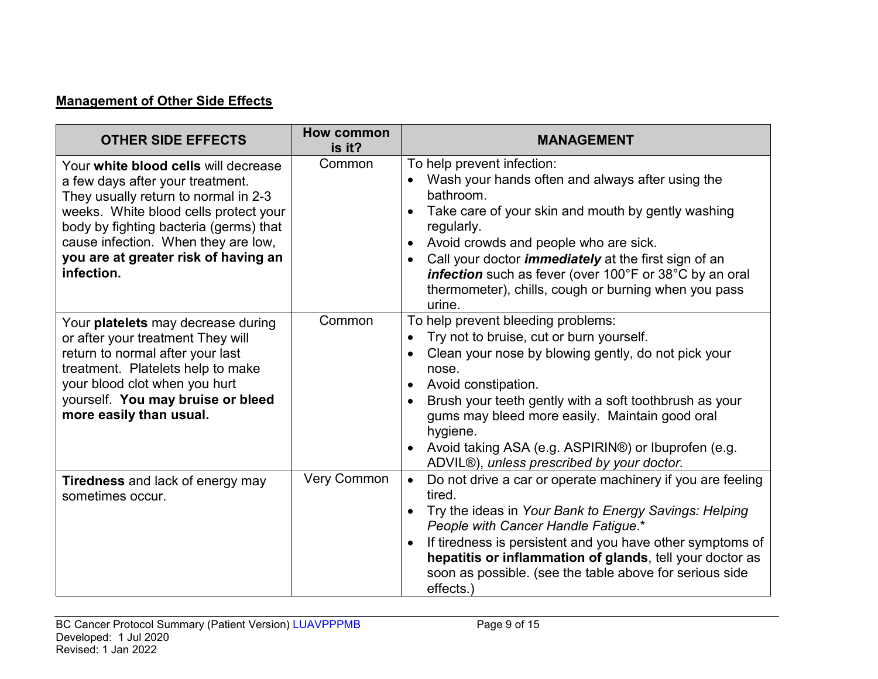# **Management of Other Side Effects**

| <b>OTHER SIDE EFFECTS</b>                                                                                                                                                                                                                                                                        | <b>How common</b><br>is it? | <b>MANAGEMENT</b>                                                                                                                                                                                                                                                                                                                                                                                                |
|--------------------------------------------------------------------------------------------------------------------------------------------------------------------------------------------------------------------------------------------------------------------------------------------------|-----------------------------|------------------------------------------------------------------------------------------------------------------------------------------------------------------------------------------------------------------------------------------------------------------------------------------------------------------------------------------------------------------------------------------------------------------|
| Your white blood cells will decrease<br>a few days after your treatment.<br>They usually return to normal in 2-3<br>weeks. White blood cells protect your<br>body by fighting bacteria (germs) that<br>cause infection. When they are low,<br>you are at greater risk of having an<br>infection. | Common                      | To help prevent infection:<br>Wash your hands often and always after using the<br>bathroom.<br>Take care of your skin and mouth by gently washing<br>regularly.<br>Avoid crowds and people who are sick.<br>Call your doctor <i>immediately</i> at the first sign of an<br>$\bullet$<br>infection such as fever (over 100°F or 38°C by an oral<br>thermometer), chills, cough or burning when you pass<br>urine. |
| Your platelets may decrease during<br>or after your treatment They will<br>return to normal after your last<br>treatment. Platelets help to make<br>your blood clot when you hurt<br>yourself. You may bruise or bleed<br>more easily than usual.                                                | Common                      | To help prevent bleeding problems:<br>Try not to bruise, cut or burn yourself.<br>Clean your nose by blowing gently, do not pick your<br>nose.<br>Avoid constipation.<br>Brush your teeth gently with a soft toothbrush as your<br>gums may bleed more easily. Maintain good oral<br>hygiene.<br>Avoid taking ASA (e.g. ASPIRIN®) or Ibuprofen (e.g.<br>ADVIL®), unless prescribed by your doctor.               |
| <b>Tiredness</b> and lack of energy may<br>sometimes occur.                                                                                                                                                                                                                                      | <b>Very Common</b>          | Do not drive a car or operate machinery if you are feeling<br>$\bullet$<br>tired.<br>Try the ideas in Your Bank to Energy Savings: Helping<br>People with Cancer Handle Fatigue.*<br>If tiredness is persistent and you have other symptoms of<br>hepatitis or inflammation of glands, tell your doctor as<br>soon as possible. (see the table above for serious side<br>effects.)                               |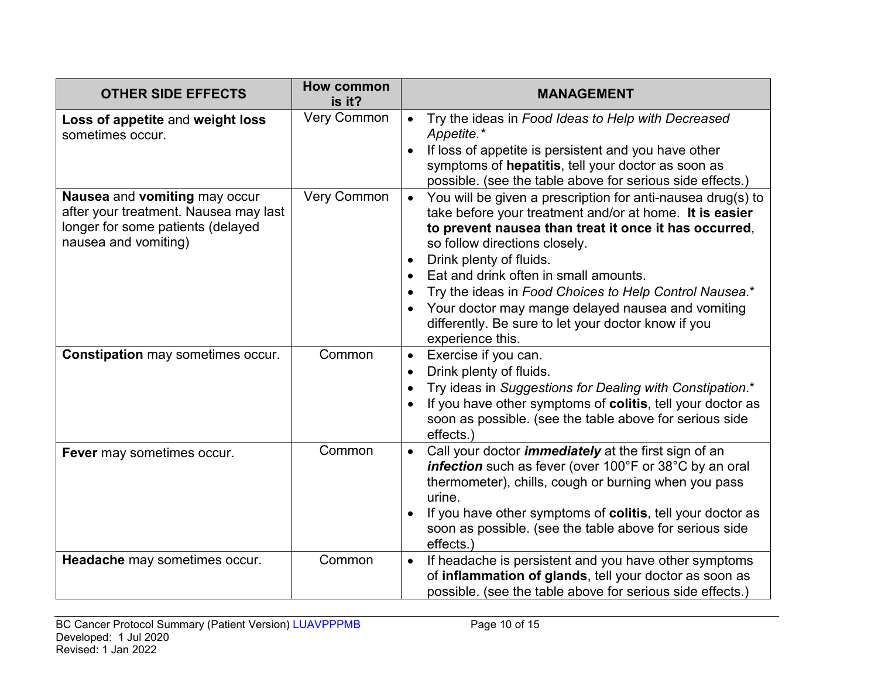| <b>OTHER SIDE EFFECTS</b>                                                                                                           | <b>How common</b><br>is it? | <b>MANAGEMENT</b>                                                                                                                                                                                                                                                                                                                                                                                                                                                              |
|-------------------------------------------------------------------------------------------------------------------------------------|-----------------------------|--------------------------------------------------------------------------------------------------------------------------------------------------------------------------------------------------------------------------------------------------------------------------------------------------------------------------------------------------------------------------------------------------------------------------------------------------------------------------------|
| Loss of appetite and weight loss<br>sometimes occur.                                                                                | Very Common                 | Try the ideas in Food Ideas to Help with Decreased<br>$\bullet$<br>Appetite.*<br>If loss of appetite is persistent and you have other<br>symptoms of hepatitis, tell your doctor as soon as<br>possible. (see the table above for serious side effects.)                                                                                                                                                                                                                       |
| Nausea and vomiting may occur<br>after your treatment. Nausea may last<br>longer for some patients (delayed<br>nausea and vomiting) | Very Common                 | You will be given a prescription for anti-nausea drug(s) to<br>take before your treatment and/or at home. It is easier<br>to prevent nausea than treat it once it has occurred,<br>so follow directions closely.<br>Drink plenty of fluids.<br>Eat and drink often in small amounts.<br>Try the ideas in Food Choices to Help Control Nausea.*<br>Your doctor may mange delayed nausea and vomiting<br>differently. Be sure to let your doctor know if you<br>experience this. |
| <b>Constipation may sometimes occur.</b>                                                                                            | Common                      | Exercise if you can.<br>$\bullet$<br>Drink plenty of fluids.<br>$\bullet$<br>Try ideas in Suggestions for Dealing with Constipation.*<br>If you have other symptoms of colitis, tell your doctor as<br>soon as possible. (see the table above for serious side<br>effects.)                                                                                                                                                                                                    |
| Fever may sometimes occur.                                                                                                          | Common                      | Call your doctor <i>immediately</i> at the first sign of an<br>$\bullet$<br>infection such as fever (over 100°F or 38°C by an oral<br>thermometer), chills, cough or burning when you pass<br>urine.<br>If you have other symptoms of colitis, tell your doctor as<br>soon as possible. (see the table above for serious side<br>effects.)                                                                                                                                     |
| Headache may sometimes occur.                                                                                                       | Common                      | If headache is persistent and you have other symptoms<br>$\bullet$<br>of inflammation of glands, tell your doctor as soon as<br>possible. (see the table above for serious side effects.)                                                                                                                                                                                                                                                                                      |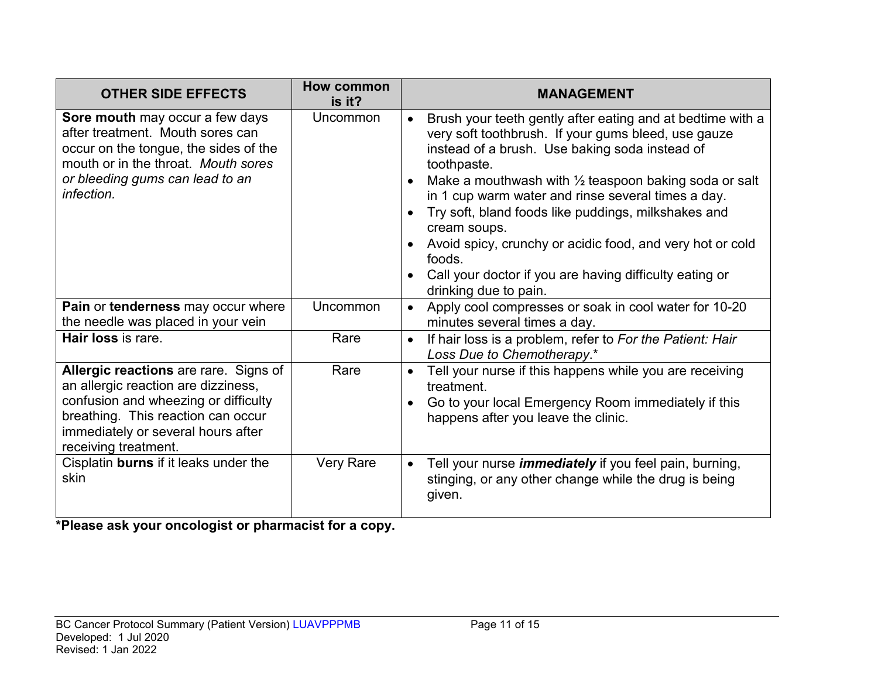| <b>OTHER SIDE EFFECTS</b>                                                                                                                                                                                                | <b>How common</b><br>is it? | <b>MANAGEMENT</b>                                                                                                                                                                                                                                                                                                                                                                                                                                                                                                                                           |
|--------------------------------------------------------------------------------------------------------------------------------------------------------------------------------------------------------------------------|-----------------------------|-------------------------------------------------------------------------------------------------------------------------------------------------------------------------------------------------------------------------------------------------------------------------------------------------------------------------------------------------------------------------------------------------------------------------------------------------------------------------------------------------------------------------------------------------------------|
| Sore mouth may occur a few days<br>after treatment. Mouth sores can<br>occur on the tongue, the sides of the<br>mouth or in the throat. Mouth sores<br>or bleeding gums can lead to an<br>infection.                     | Uncommon                    | Brush your teeth gently after eating and at bedtime with a<br>$\bullet$<br>very soft toothbrush. If your gums bleed, use gauze<br>instead of a brush. Use baking soda instead of<br>toothpaste.<br>Make a mouthwash with $\frac{1}{2}$ teaspoon baking soda or salt<br>in 1 cup warm water and rinse several times a day.<br>Try soft, bland foods like puddings, milkshakes and<br>cream soups.<br>Avoid spicy, crunchy or acidic food, and very hot or cold<br>foods.<br>Call your doctor if you are having difficulty eating or<br>drinking due to pain. |
| Pain or tenderness may occur where<br>the needle was placed in your vein                                                                                                                                                 | Uncommon                    | Apply cool compresses or soak in cool water for 10-20<br>$\bullet$<br>minutes several times a day.                                                                                                                                                                                                                                                                                                                                                                                                                                                          |
| Hair loss is rare.                                                                                                                                                                                                       | Rare                        | If hair loss is a problem, refer to For the Patient: Hair<br>$\bullet$<br>Loss Due to Chemotherapy.*                                                                                                                                                                                                                                                                                                                                                                                                                                                        |
| Allergic reactions are rare. Signs of<br>an allergic reaction are dizziness,<br>confusion and wheezing or difficulty<br>breathing. This reaction can occur<br>immediately or several hours after<br>receiving treatment. | Rare                        | Tell your nurse if this happens while you are receiving<br>$\bullet$<br>treatment.<br>Go to your local Emergency Room immediately if this<br>happens after you leave the clinic.                                                                                                                                                                                                                                                                                                                                                                            |
| Cisplatin burns if it leaks under the<br>skin                                                                                                                                                                            | Very Rare                   | Tell your nurse <i>immediately</i> if you feel pain, burning,<br>$\bullet$<br>stinging, or any other change while the drug is being<br>given.                                                                                                                                                                                                                                                                                                                                                                                                               |

**\*Please ask your oncologist or pharmacist for a copy.**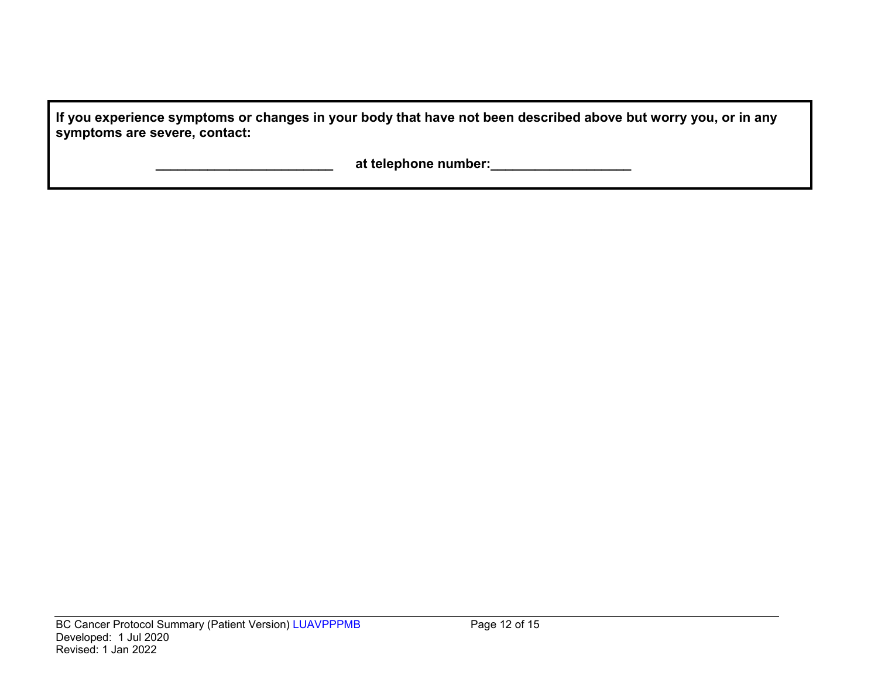| If you experience symptoms or changes in your body that have not been described above but worry you, or in any |  |
|----------------------------------------------------------------------------------------------------------------|--|
| symptoms are severe, contact:                                                                                  |  |

 **\_\_\_\_\_\_\_\_\_\_\_\_\_\_\_\_\_\_\_\_\_\_\_\_ at telephone number:\_\_\_\_\_\_\_\_\_\_\_\_\_\_\_\_\_\_\_**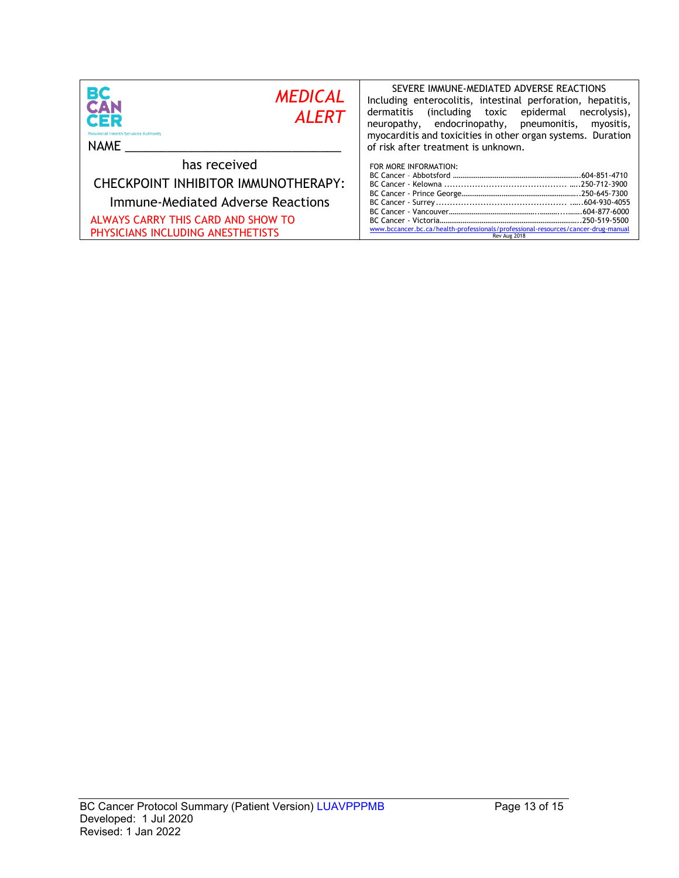| BС<br><b>MEDICAL</b><br>CAN<br><b>ALERT</b><br>CER<br><b>Provincial Health Services Authority</b><br><b>NAME</b>                                                    | SEVERE IMMUNE-MEDIATED ADVERSE REACTIONS<br>Including enterocolitis, intestinal perforation, hepatitis,<br>including toxic epidermal)<br>dermatitis<br>necrolysis),<br>neuropathy, endocrinopathy, pneumonitis,<br>myositis,<br>myocarditis and toxicities in other organ systems. Duration<br>of risk after treatment is unknown. |
|---------------------------------------------------------------------------------------------------------------------------------------------------------------------|------------------------------------------------------------------------------------------------------------------------------------------------------------------------------------------------------------------------------------------------------------------------------------------------------------------------------------|
| has received<br>CHECKPOINT INHIBITOR IMMUNOTHERAPY:<br>Immune-Mediated Adverse Reactions<br>ALWAYS CARRY THIS CARD AND SHOW TO<br>PHYSICIANS INCLUDING ANESTHETISTS | FOR MORE INFORMATION:<br>www.bccancer.bc.ca/health-professionals/professional-resources/cancer-drug-manual<br>Rev Aug 2018                                                                                                                                                                                                         |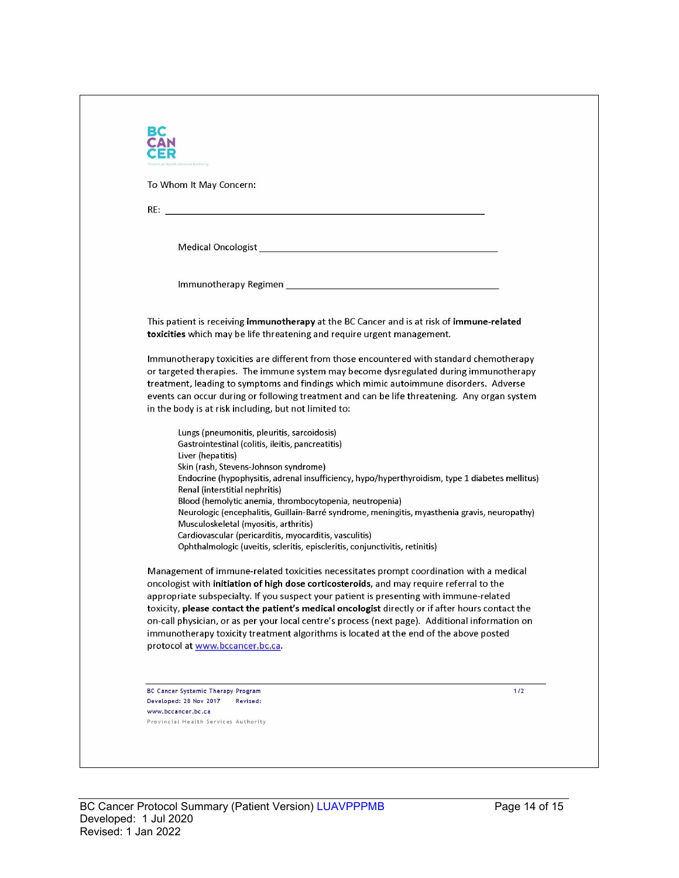| Medical Oncologist New York and Service Contract of the Contract of the Contract of the Contract of the Contract of the Contract of the Contract of the Contract of the Contract of the Contract of the Contract of the Contra<br>This patient is receiving immunotherapy at the BC Cancer and is at risk of immune-related<br>toxicities which may be life threatening and require urgent management.<br>Immunotherapy toxicities are different from those encountered with standard chemotherapy<br>or targeted therapies. The immune system may become dysregulated during immunotherapy<br>treatment, leading to symptoms and findings which mimic autoimmune disorders. Adverse<br>events can occur during or following treatment and can be life threatening. Any organ system<br>in the body is at risk including, but not limited to:<br>Lungs (pneumonitis, pleuritis, sarcoidosis)<br>Gastrointestinal (colitis, ileitis, pancreatitis)<br>Liver (hepatitis)<br>Skin (rash, Stevens-Johnson syndrome)<br>Endocrine (hypophysitis, adrenal insufficiency, hypo/hyperthyroidism, type 1 diabetes mellitus)<br>Renal (interstitial nephritis)<br>Blood (hemolytic anemia, thrombocytopenia, neutropenia)<br>Neurologic (encephalitis, Guillain-Barré syndrome, meningitis, myasthenia gravis, neuropathy)<br>Musculoskeletal (myositis, arthritis)<br>Cardiovascular (pericarditis, myocarditis, vasculitis)<br>Ophthalmologic (uveitis, scleritis, episcleritis, conjunctivitis, retinitis)<br>Management of immune-related toxicities necessitates prompt coordination with a medical<br>oncologist with initiation of high dose corticosteroids, and may require referral to the<br>appropriate subspecialty. If you suspect your patient is presenting with immune-related | To Whom It May Concern: |                                                                                                  |
|---------------------------------------------------------------------------------------------------------------------------------------------------------------------------------------------------------------------------------------------------------------------------------------------------------------------------------------------------------------------------------------------------------------------------------------------------------------------------------------------------------------------------------------------------------------------------------------------------------------------------------------------------------------------------------------------------------------------------------------------------------------------------------------------------------------------------------------------------------------------------------------------------------------------------------------------------------------------------------------------------------------------------------------------------------------------------------------------------------------------------------------------------------------------------------------------------------------------------------------------------------------------------------------------------------------------------------------------------------------------------------------------------------------------------------------------------------------------------------------------------------------------------------------------------------------------------------------------------------------------------------------------------------------------------------------------------------------------------------------------------------------------------------------|-------------------------|--------------------------------------------------------------------------------------------------|
|                                                                                                                                                                                                                                                                                                                                                                                                                                                                                                                                                                                                                                                                                                                                                                                                                                                                                                                                                                                                                                                                                                                                                                                                                                                                                                                                                                                                                                                                                                                                                                                                                                                                                                                                                                                       |                         |                                                                                                  |
|                                                                                                                                                                                                                                                                                                                                                                                                                                                                                                                                                                                                                                                                                                                                                                                                                                                                                                                                                                                                                                                                                                                                                                                                                                                                                                                                                                                                                                                                                                                                                                                                                                                                                                                                                                                       |                         |                                                                                                  |
|                                                                                                                                                                                                                                                                                                                                                                                                                                                                                                                                                                                                                                                                                                                                                                                                                                                                                                                                                                                                                                                                                                                                                                                                                                                                                                                                                                                                                                                                                                                                                                                                                                                                                                                                                                                       |                         |                                                                                                  |
|                                                                                                                                                                                                                                                                                                                                                                                                                                                                                                                                                                                                                                                                                                                                                                                                                                                                                                                                                                                                                                                                                                                                                                                                                                                                                                                                                                                                                                                                                                                                                                                                                                                                                                                                                                                       |                         |                                                                                                  |
|                                                                                                                                                                                                                                                                                                                                                                                                                                                                                                                                                                                                                                                                                                                                                                                                                                                                                                                                                                                                                                                                                                                                                                                                                                                                                                                                                                                                                                                                                                                                                                                                                                                                                                                                                                                       |                         |                                                                                                  |
|                                                                                                                                                                                                                                                                                                                                                                                                                                                                                                                                                                                                                                                                                                                                                                                                                                                                                                                                                                                                                                                                                                                                                                                                                                                                                                                                                                                                                                                                                                                                                                                                                                                                                                                                                                                       |                         |                                                                                                  |
|                                                                                                                                                                                                                                                                                                                                                                                                                                                                                                                                                                                                                                                                                                                                                                                                                                                                                                                                                                                                                                                                                                                                                                                                                                                                                                                                                                                                                                                                                                                                                                                                                                                                                                                                                                                       |                         |                                                                                                  |
|                                                                                                                                                                                                                                                                                                                                                                                                                                                                                                                                                                                                                                                                                                                                                                                                                                                                                                                                                                                                                                                                                                                                                                                                                                                                                                                                                                                                                                                                                                                                                                                                                                                                                                                                                                                       |                         |                                                                                                  |
|                                                                                                                                                                                                                                                                                                                                                                                                                                                                                                                                                                                                                                                                                                                                                                                                                                                                                                                                                                                                                                                                                                                                                                                                                                                                                                                                                                                                                                                                                                                                                                                                                                                                                                                                                                                       |                         |                                                                                                  |
|                                                                                                                                                                                                                                                                                                                                                                                                                                                                                                                                                                                                                                                                                                                                                                                                                                                                                                                                                                                                                                                                                                                                                                                                                                                                                                                                                                                                                                                                                                                                                                                                                                                                                                                                                                                       |                         |                                                                                                  |
|                                                                                                                                                                                                                                                                                                                                                                                                                                                                                                                                                                                                                                                                                                                                                                                                                                                                                                                                                                                                                                                                                                                                                                                                                                                                                                                                                                                                                                                                                                                                                                                                                                                                                                                                                                                       |                         |                                                                                                  |
|                                                                                                                                                                                                                                                                                                                                                                                                                                                                                                                                                                                                                                                                                                                                                                                                                                                                                                                                                                                                                                                                                                                                                                                                                                                                                                                                                                                                                                                                                                                                                                                                                                                                                                                                                                                       |                         |                                                                                                  |
|                                                                                                                                                                                                                                                                                                                                                                                                                                                                                                                                                                                                                                                                                                                                                                                                                                                                                                                                                                                                                                                                                                                                                                                                                                                                                                                                                                                                                                                                                                                                                                                                                                                                                                                                                                                       |                         |                                                                                                  |
|                                                                                                                                                                                                                                                                                                                                                                                                                                                                                                                                                                                                                                                                                                                                                                                                                                                                                                                                                                                                                                                                                                                                                                                                                                                                                                                                                                                                                                                                                                                                                                                                                                                                                                                                                                                       |                         |                                                                                                  |
|                                                                                                                                                                                                                                                                                                                                                                                                                                                                                                                                                                                                                                                                                                                                                                                                                                                                                                                                                                                                                                                                                                                                                                                                                                                                                                                                                                                                                                                                                                                                                                                                                                                                                                                                                                                       |                         |                                                                                                  |
|                                                                                                                                                                                                                                                                                                                                                                                                                                                                                                                                                                                                                                                                                                                                                                                                                                                                                                                                                                                                                                                                                                                                                                                                                                                                                                                                                                                                                                                                                                                                                                                                                                                                                                                                                                                       |                         |                                                                                                  |
|                                                                                                                                                                                                                                                                                                                                                                                                                                                                                                                                                                                                                                                                                                                                                                                                                                                                                                                                                                                                                                                                                                                                                                                                                                                                                                                                                                                                                                                                                                                                                                                                                                                                                                                                                                                       |                         |                                                                                                  |
|                                                                                                                                                                                                                                                                                                                                                                                                                                                                                                                                                                                                                                                                                                                                                                                                                                                                                                                                                                                                                                                                                                                                                                                                                                                                                                                                                                                                                                                                                                                                                                                                                                                                                                                                                                                       |                         |                                                                                                  |
|                                                                                                                                                                                                                                                                                                                                                                                                                                                                                                                                                                                                                                                                                                                                                                                                                                                                                                                                                                                                                                                                                                                                                                                                                                                                                                                                                                                                                                                                                                                                                                                                                                                                                                                                                                                       |                         |                                                                                                  |
|                                                                                                                                                                                                                                                                                                                                                                                                                                                                                                                                                                                                                                                                                                                                                                                                                                                                                                                                                                                                                                                                                                                                                                                                                                                                                                                                                                                                                                                                                                                                                                                                                                                                                                                                                                                       |                         | toxicity, please contact the patient's medical oncologist directly or if after hours contact the |
| on-call physician, or as per your local centre's process (next page). Additional information on                                                                                                                                                                                                                                                                                                                                                                                                                                                                                                                                                                                                                                                                                                                                                                                                                                                                                                                                                                                                                                                                                                                                                                                                                                                                                                                                                                                                                                                                                                                                                                                                                                                                                       |                         |                                                                                                  |
| immunotherapy toxicity treatment algorithms is located at the end of the above posted                                                                                                                                                                                                                                                                                                                                                                                                                                                                                                                                                                                                                                                                                                                                                                                                                                                                                                                                                                                                                                                                                                                                                                                                                                                                                                                                                                                                                                                                                                                                                                                                                                                                                                 |                         |                                                                                                  |
| protocol at www.bccancer.bc.ca.                                                                                                                                                                                                                                                                                                                                                                                                                                                                                                                                                                                                                                                                                                                                                                                                                                                                                                                                                                                                                                                                                                                                                                                                                                                                                                                                                                                                                                                                                                                                                                                                                                                                                                                                                       |                         |                                                                                                  |
|                                                                                                                                                                                                                                                                                                                                                                                                                                                                                                                                                                                                                                                                                                                                                                                                                                                                                                                                                                                                                                                                                                                                                                                                                                                                                                                                                                                                                                                                                                                                                                                                                                                                                                                                                                                       |                         |                                                                                                  |
| BC Cancer Systemic Therapy Program<br>Developed: 28 Nov 2017<br>Revised:                                                                                                                                                                                                                                                                                                                                                                                                                                                                                                                                                                                                                                                                                                                                                                                                                                                                                                                                                                                                                                                                                                                                                                                                                                                                                                                                                                                                                                                                                                                                                                                                                                                                                                              |                         | 1/2                                                                                              |